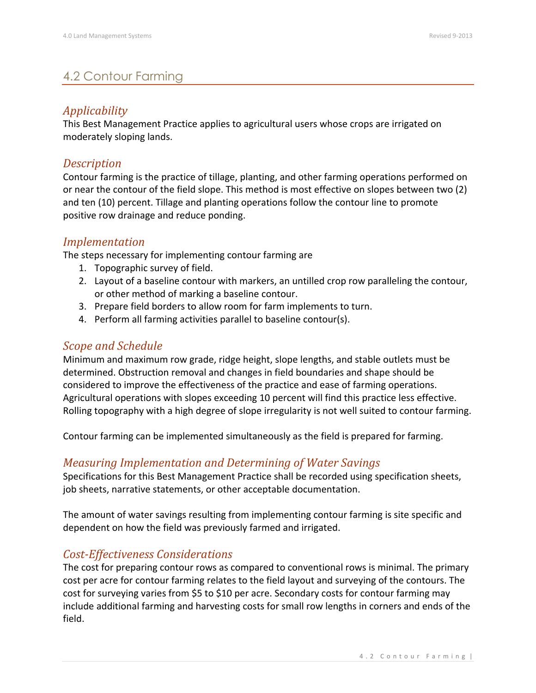# 4.2 Contour Farming

# *Applicability*

This Best Management Practice applies to agricultural users whose crops are irrigated on moderately sloping lands.

## *Description*

Contour farming is the practice of tillage, planting, and other farming operations performed on or near the contour of the field slope. This method is most effective on slopes between two (2) and ten (10) percent. Tillage and planting operations follow the contour line to promote positive row drainage and reduce ponding.

## *Implementation*

The steps necessary for implementing contour farming are

- 1. Topographic survey of field.
- 2. Layout of a baseline contour with markers, an untilled crop row paralleling the contour, or other method of marking a baseline contour.
- 3. Prepare field borders to allow room for farm implements to turn.
- 4. Perform all farming activities parallel to baseline contour(s).

## *Scope and Schedule*

Minimum and maximum row grade, ridge height, slope lengths, and stable outlets must be determined. Obstruction removal and changes in field boundaries and shape should be considered to improve the effectiveness of the practice and ease of farming operations. Agricultural operations with slopes exceeding 10 percent will find this practice less effective. Rolling topography with a high degree of slope irregularity is not well suited to contour farming.

Contour farming can be implemented simultaneously as the field is prepared for farming.

#### *Measuring Implementation and Determining of Water Savings*

Specifications for this Best Management Practice shall be recorded using specification sheets, job sheets, narrative statements, or other acceptable documentation.

The amount of water savings resulting from implementing contour farming is site specific and dependent on how the field was previously farmed and irrigated.

#### *Cost-Effectiveness Considerations*

The cost for preparing contour rows as compared to conventional rows is minimal. The primary cost per acre for contour farming relates to the field layout and surveying of the contours. The cost for surveying varies from \$5 to \$10 per acre. Secondary costs for contour farming may include additional farming and harvesting costs for small row lengths in corners and ends of the field.